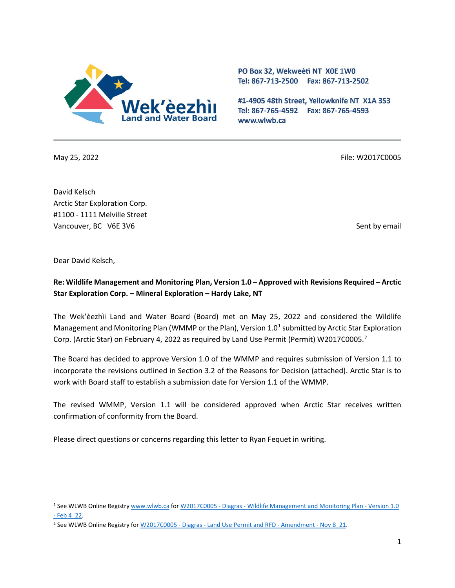

PO Box 32, Wekweeti NT X0E 1W0 Tel: 867-713-2500 Fax: 867-713-2502

#1-4905 48th Street, Yellowknife NT X1A 3S3 Tel: 867-765-4592 Fax: 867-765-4593 www.wlwb.ca

May 25, 2022 File: W2017C0005

David Kelsch Arctic Star Exploration Corp. #1100 - 1111 Melville Street Vancouver, BC V6E 3V6 Sent by email by email by email by email by email by email by email by email by email by email by email by email by email by email by email by email by email by email by email by email by email by ema

Dear David Kelsch,

## **Re: Wildlife Management and Monitoring Plan, Version 1.0 – Approved with Revisions Required – Arctic Star Exploration Corp. – Mineral Exploration – Hardy Lake, NT**

The Wek'èezhìi Land and Water Board (Board) met on May 25, 2022 and considered the Wildlife Management and Monitoring Plan (WMMP or the Plan), Version  $1.0<sup>1</sup>$  $1.0<sup>1</sup>$  submitted by Arctic Star Exploration Corp. (Arctic Star) on February 4, [2](#page-0-1)022 as required by Land Use Permit (Permit) W2017C0005.<sup>2</sup>

The Board has decided to approve Version 1.0 of the WMMP and requires submission of Version 1.1 to incorporate the revisions outlined in Section 3.2 of the Reasons for Decision (attached). Arctic Star is to work with Board staff to establish a submission date for Version 1.1 of the WMMP.

The revised WMMP, Version 1.1 will be considered approved when Arctic Star receives written confirmation of conformity from the Board.

Please direct questions or concerns regarding this letter to Ryan Fequet in writing.

<span id="page-0-0"></span><sup>1</sup> See WLWB Online Registr[y www.wlwb.ca](http://www.wlwb.ca/) for [W2017C0005 - Diagras - Wildlife Management and Monitoring Plan - Version 1.0](http://registry.mvlwb.ca/Documents/W2017C0005/W2017C0005%20-%20Diagras%20-%20Wildlife%20Management%20and%20Monitoring%20Plan%20-%20Version%201.0%20-%20Feb%204_22.pdf) [- Feb 4\\_22.](http://registry.mvlwb.ca/Documents/W2017C0005/W2017C0005%20-%20Diagras%20-%20Wildlife%20Management%20and%20Monitoring%20Plan%20-%20Version%201.0%20-%20Feb%204_22.pdf) 

<span id="page-0-1"></span><sup>&</sup>lt;sup>2</sup> See WLWB Online Registry for W2017C0005 - Diagras - Land Use Permit and RFD - Amendment - Nov 8 21.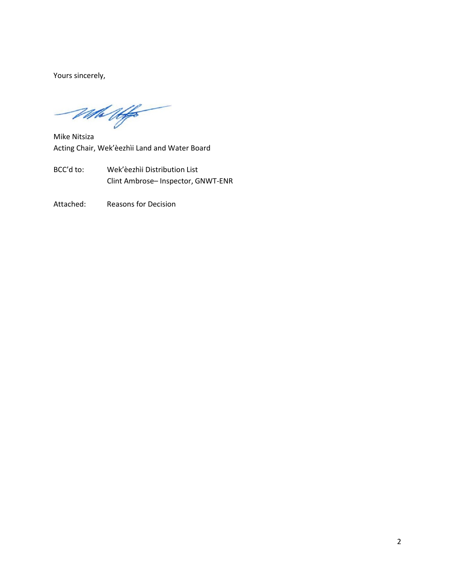Yours sincerely,

the Uffer

Mike Nitsiza Acting Chair, Wek'èezhìi Land and Water Board

- BCC'd to: Wek'èezhìi Distribution List Clint Ambrose– Inspector, GNWT-ENR
- Attached: Reasons for Decision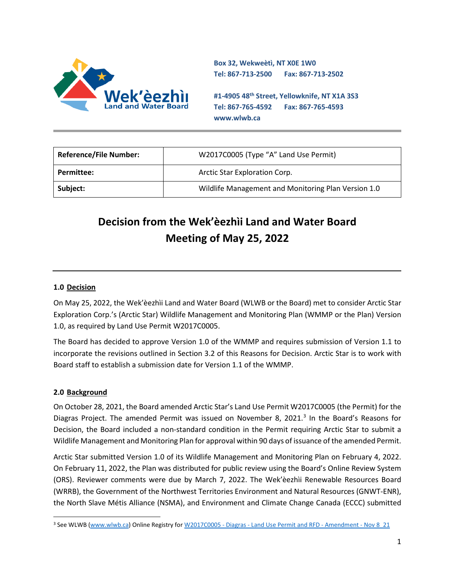

**Box 32, Wekweètì, NT X0E 1W0 Tel: 867-713-2500 Fax: 867-713-2502** 

**#1-4905 48th Street, Yellowknife, NT X1A 3S3 Tel: 867-765-4592 Fax: 867-765-4593 www.wlwb.ca**

| <b>Reference/File Number:</b> | W2017C0005 (Type "A" Land Use Permit)               |
|-------------------------------|-----------------------------------------------------|
| <b>Permittee:</b>             | Arctic Star Exploration Corp.                       |
| Subject:                      | Wildlife Management and Monitoring Plan Version 1.0 |

# **Decision from the Wek'èezhìi Land and Water Board Meeting of May 25, 2022**

#### **1.0 Decision**

On May 25, 2022, the Wek'èezhìi Land and Water Board (WLWB or the Board) met to consider Arctic Star Exploration Corp.'s (Arctic Star) Wildlife Management and Monitoring Plan (WMMP or the Plan) Version 1.0, as required by Land Use Permit W2017C0005.

The Board has decided to approve Version 1.0 of the WMMP and requires submission of Version 1.1 to incorporate the revisions outlined in Section 3.2 of this Reasons for Decision. Arctic Star is to work with Board staff to establish a submission date for Version 1.1 of the WMMP.

#### **2.0 Background**

On October 28, 2021, the Board amended Arctic Star's Land Use Permit W2017C0005 (the Permit) for the Diagras Project. The amended Permit was issued on November 8, 2021. $3$  In the Board's Reasons for Decision, the Board included a non-standard condition in the Permit requiring Arctic Star to submit a Wildlife Management and Monitoring Plan for approval within 90 days of issuance of the amended Permit.

Arctic Star submitted Version 1.0 of its Wildlife Management and Monitoring Plan on February 4, 2022. On February 11, 2022, the Plan was distributed for public review using the Board's Online Review System (ORS). Reviewer comments were due by March 7, 2022. The Wek'èezhìi Renewable Resources Board (WRRB), the Government of the Northwest Territories Environment and Natural Resources (GNWT-ENR), the North Slave Métis Alliance (NSMA), and Environment and Climate Change Canada (ECCC) submitted

<span id="page-2-0"></span><sup>&</sup>lt;sup>3</sup> See WLWB [\(www.wlwb.ca\)](http://www.wlwb.ca/) Online Registry for W2017C0005 - Diagras - Land Use Permit and RFD - Amendment - Nov 8 21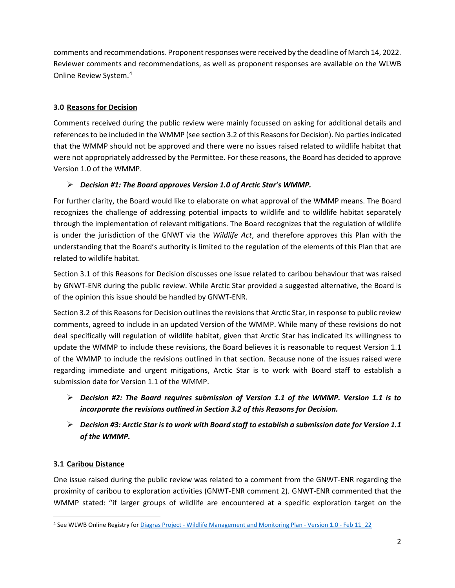comments and recommendations. Proponent responses were received by the deadline of March 14, 2022. Reviewer comments and recommendations, as well as proponent responses are available on the WLWB Online Review System. [4](#page-3-0)

#### **3.0 Reasons for Decision**

Comments received during the public review were mainly focussed on asking for additional details and references to be included in the WMMP (see section 3.2 of this Reasons for Decision). No parties indicated that the WMMP should not be approved and there were no issues raised related to wildlife habitat that were not appropriately addressed by the Permittee. For these reasons, the Board has decided to approve Version 1.0 of the WMMP.

#### *Decision #1: The Board approves Version 1.0 of Arctic Star's WMMP.*

For further clarity, the Board would like to elaborate on what approval of the WMMP means. The Board recognizes the challenge of addressing potential impacts to wildlife and to wildlife habitat separately through the implementation of relevant mitigations. The Board recognizes that the regulation of wildlife is under the jurisdiction of the GNWT via the *Wildlife Act*, and therefore approves this Plan with the understanding that the Board's authority is limited to the regulation of the elements of this Plan that are related to wildlife habitat.

Section 3.1 of this Reasons for Decision discusses one issue related to caribou behaviour that was raised by GNWT-ENR during the public review. While Arctic Star provided a suggested alternative, the Board is of the opinion this issue should be handled by GNWT-ENR.

Section 3.2 of this Reasons for Decision outlines the revisions that Arctic Star, in response to public review comments, agreed to include in an updated Version of the WMMP. While many of these revisions do not deal specifically will regulation of wildlife habitat, given that Arctic Star has indicated its willingness to update the WMMP to include these revisions, the Board believes it is reasonable to request Version 1.1 of the WMMP to include the revisions outlined in that section. Because none of the issues raised were regarding immediate and urgent mitigations, Arctic Star is to work with Board staff to establish a submission date for Version 1.1 of the WMMP.

- *Decision #2: The Board requires submission of Version 1.1 of the WMMP. Version 1.1 is to incorporate the revisions outlined in Section 3.2 of this Reasons for Decision.*
- *Decision #3: Arctic Star is to work with Board staff to establish a submission date for Version 1.1 of the WMMP.*

### **3.1 Caribou Distance**

One issue raised during the public review was related to a comment from the GNWT-ENR regarding the proximity of caribou to exploration activities (GNWT-ENR comment 2). GNWT-ENR commented that the WMMP stated: "if larger groups of wildlife are encountered at a specific exploration target on the

<span id="page-3-0"></span><sup>4</sup> See WLWB Online Registry for [Diagras Project - Wildlife Management and Monitoring Plan - Version 1.0 - Feb 11\\_22](https://new.onlinereviewsystem.ca/review/A56C26DC-668B-EC11-A507-0050F28C76A5)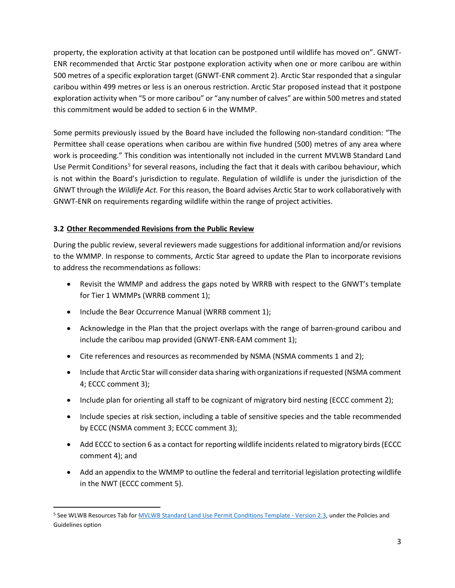property, the exploration activity at that location can be postponed until wildlife has moved on". GNWT-ENR recommended that Arctic Star postpone exploration activity when one or more caribou are within 500 metres of a specific exploration target (GNWT-ENR comment 2). Arctic Star responded that a singular caribou within 499 metres or less is an onerous restriction. Arctic Star proposed instead that it postpone exploration activity when "5 or more caribou" or "any number of calves" are within 500 metres and stated this commitment would be added to section 6 in the WMMP.

Some permits previously issued by the Board have included the following non-standard condition: "The Permittee shall cease operations when caribou are within five hundred (500) metres of any area where work is proceeding." This condition was intentionally not included in the current MVLWB Standard Land Use Permit Conditions<sup>[5](#page-4-0)</sup> for several reasons, including the fact that it deals with caribou behaviour, which is not within the Board's jurisdiction to regulate. Regulation of wildlife is under the jurisdiction of the GNWT through the *Wildlife Act.* For this reason, the Board advises Arctic Star to work collaboratively with GNWT-ENR on requirements regarding wildlife within the range of project activities.

#### **3.2 Other Recommended Revisions from the Public Review**

During the public review, several reviewers made suggestions for additional information and/or revisions to the WMMP. In response to comments, Arctic Star agreed to update the Plan to incorporate revisions to address the recommendations as follows:

- Revisit the WMMP and address the gaps noted by WRRB with respect to the GNWT's template for Tier 1 WMMPs (WRRB comment 1);
- Include the Bear Occurrence Manual (WRRB comment 1);
- Acknowledge in the Plan that the project overlaps with the range of barren-ground caribou and include the caribou map provided (GNWT-ENR-EAM comment 1);
- Cite references and resources as recommended by NSMA (NSMA comments 1 and 2);
- Include that Arctic Star will consider data sharing with organizations if requested (NSMA comment 4; ECCC comment 3);
- Include plan for orienting all staff to be cognizant of migratory bird nesting (ECCC comment 2);
- Include species at risk section, including a table of sensitive species and the table recommended by ECCC (NSMA comment 3; ECCC comment 3);
- Add ECCC to section 6 as a contact for reporting wildlife incidents related to migratory birds (ECCC comment 4); and
- Add an appendix to the WMMP to outline the federal and territorial legislation protecting wildlife in the NWT (ECCC comment 5).

<span id="page-4-0"></span><sup>5</sup> See WLWB Resources Tab fo[r MVLWB Standard Land Use Permit Conditions Template - Version 2.3,](https://mvlwb.com/sites/default/files/standard_land_use_permit_conditions_template_-_public_version_2.3_-_aug_7_20.docx) under the Policies and Guidelines option